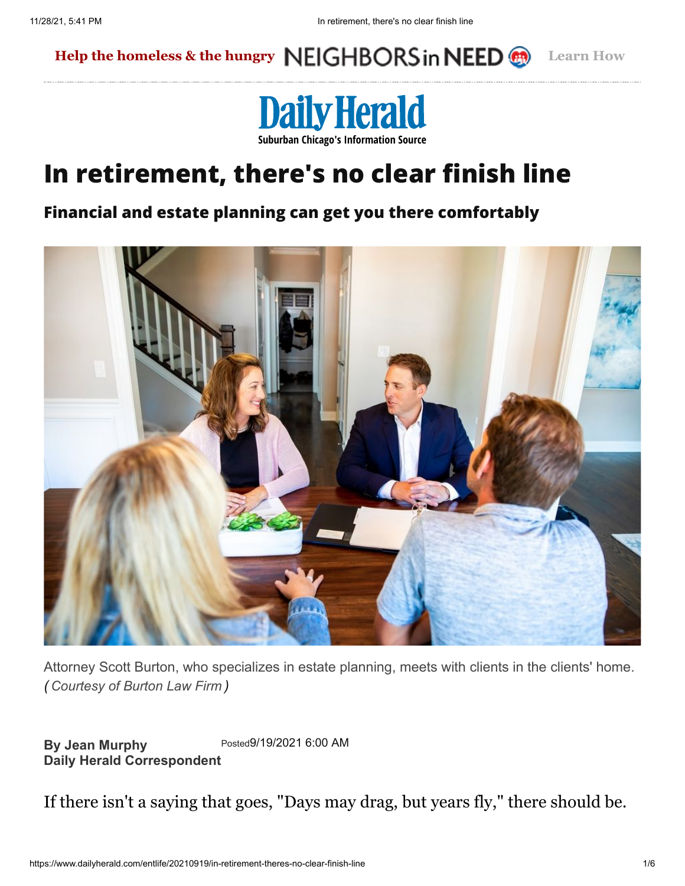### **[Help the homeless & the hungry](https://dailyherald.com/neighbors) Learn How**



# **In retirement, there's no clear finish line**

#### **Financial and estate planning can get you there comfortably**



Attorney Scott Burton, who specializes in estate planning, meets with clients in the clients' home. *( Courtesy of Burton Law Firm )*

**By Jean Murphy Daily Herald Correspondent** Posted9/19/2021 6:00 AM

If there isn't a saying that goes, "Days may drag, but years fly," there should be.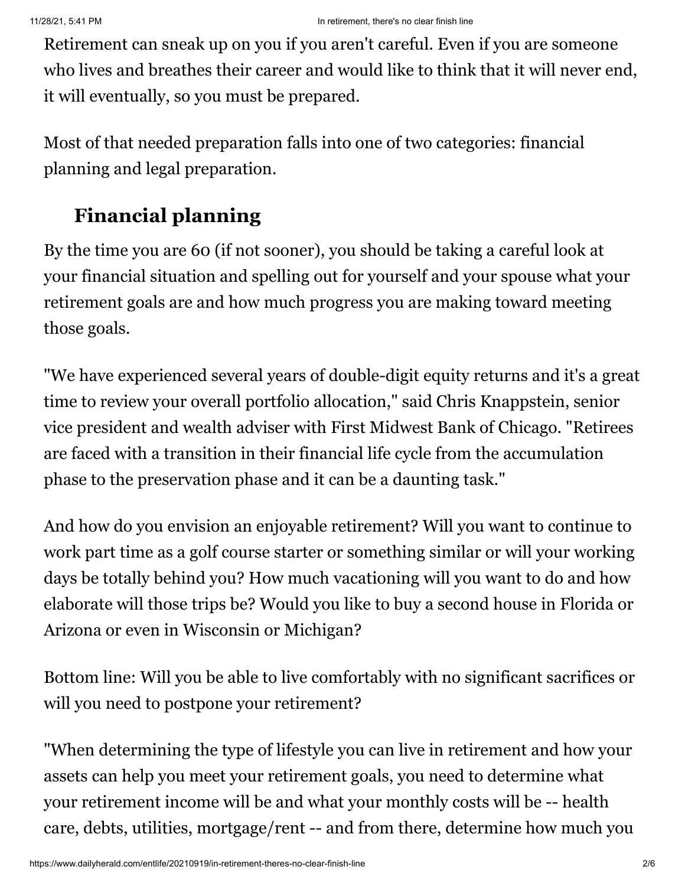Retirement can sneak up on you if you aren't careful. Even if you are someone who lives and breathes their career and would like to think that it will never end, it will eventually, so you must be prepared.

Most of that needed preparation falls into one of two categories: financial planning and legal preparation.

### **Financial planning**

By the time you are 60 (if not sooner), you should be taking a careful look at your financial situation and spelling out for yourself and your spouse what your retirement goals are and how much progress you are making toward meeting those goals.

"We have experienced several years of double-digit equity returns and it's a great time to review your overall portfolio allocation," said Chris Knappstein, senior vice president and wealth adviser with First Midwest Bank of Chicago. "Retirees are faced with a transition in their financial life cycle from the accumulation phase to the preservation phase and it can be a daunting task."

And how do you envision an enjoyable retirement? Will you want to continue to work part time as a golf course starter or something similar or will your working days be totally behind you? How much vacationing will you want to do and how elaborate will those trips be? Would you like to buy a second house in Florida or Arizona or even in Wisconsin or Michigan?

Bottom line: Will you be able to live comfortably with no significant sacrifices or will you need to postpone your retirement?

"When determining the type of lifestyle you can live in retirement and how your assets can help you meet your retirement goals, you need to determine what your retirement income will be and what your monthly costs will be -- health care, debts, utilities, mortgage/rent -- and from there, determine how much you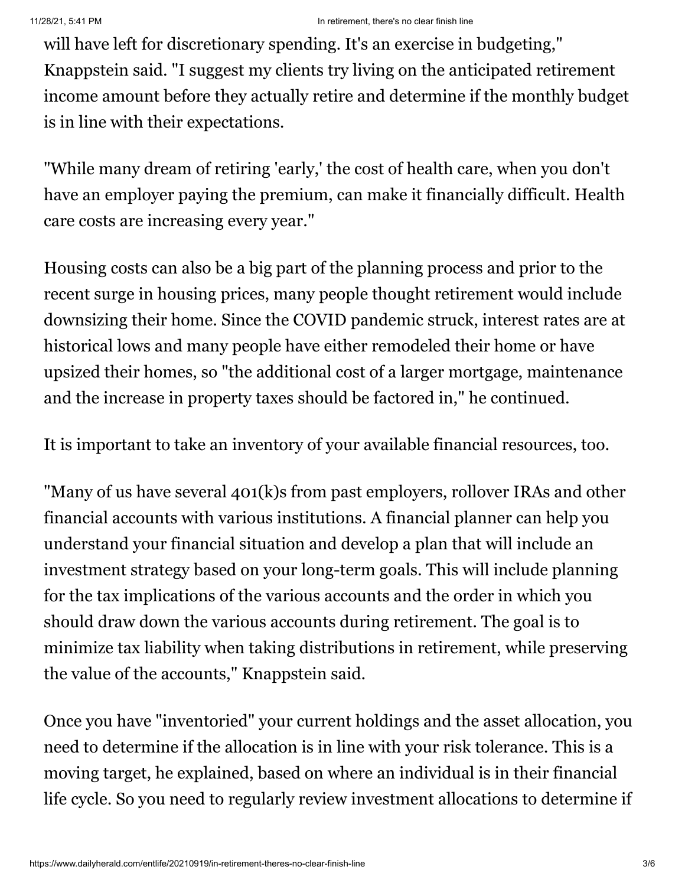will have left for discretionary spending. It's an exercise in budgeting," Knappstein said. "I suggest my clients try living on the anticipated retirement income amount before they actually retire and determine if the monthly budget is in line with their expectations.

"While many dream of retiring 'early,' the cost of health care, when you don't have an employer paying the premium, can make it financially difficult. Health care costs are increasing every year."

Housing costs can also be a big part of the planning process and prior to the recent surge in housing prices, many people thought retirement would include downsizing their home. Since the COVID pandemic struck, interest rates are at historical lows and many people have either remodeled their home or have upsized their homes, so "the additional cost of a larger mortgage, maintenance and the increase in property taxes should be factored in," he continued.

It is important to take an inventory of your available financial resources, too.

"Many of us have several 401(k)s from past employers, rollover IRAs and other financial accounts with various institutions. A financial planner can help you understand your financial situation and develop a plan that will include an investment strategy based on your long-term goals. This will include planning for the tax implications of the various accounts and the order in which you should draw down the various accounts during retirement. The goal is to minimize tax liability when taking distributions in retirement, while preserving the value of the accounts," Knappstein said.

Once you have "inventoried" your current holdings and the asset allocation, you need to determine if the allocation is in line with your risk tolerance. This is a moving target, he explained, based on where an individual is in their financial life cycle. So you need to regularly review investment allocations to determine if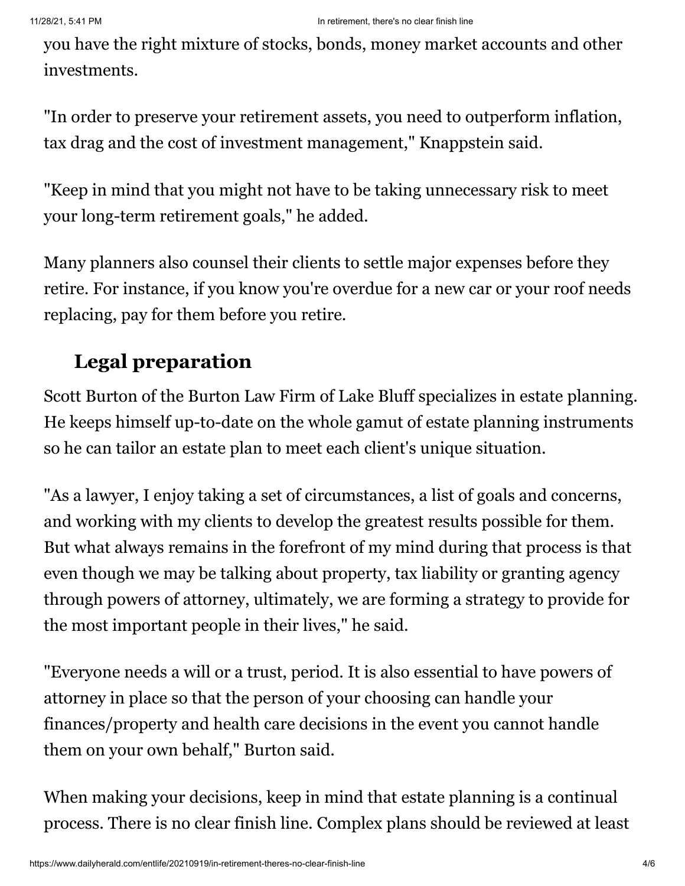you have the right mixture of stocks, bonds, money market accounts and other investments.

"In order to preserve your retirement assets, you need to outperform inflation, tax drag and the cost of investment management," Knappstein said.

"Keep in mind that you might not have to be taking unnecessary risk to meet your long-term retirement goals," he added.

Many planners also counsel their clients to settle major expenses before they retire. For instance, if you know you're overdue for a new car or your roof needs replacing, pay for them before you retire.

## **Legal preparation**

Scott Burton of the Burton Law Firm of Lake Bluff specializes in estate planning. He keeps himself up-to-date on the whole gamut of estate planning instruments so he can tailor an estate plan to meet each client's unique situation.

"As a lawyer, I enjoy taking a set of circumstances, a list of goals and concerns, and working with my clients to develop the greatest results possible for them. But what always remains in the forefront of my mind during that process is that even though we may be talking about property, tax liability or granting agency through powers of attorney, ultimately, we are forming a strategy to provide for the most important people in their lives," he said.

"Everyone needs a will or a trust, period. It is also essential to have powers of attorney in place so that the person of your choosing can handle your finances/property and health care decisions in the event you cannot handle them on your own behalf," Burton said.

When making your decisions, keep in mind that estate planning is a continual process. There is no clear finish line. Complex plans should be reviewed at least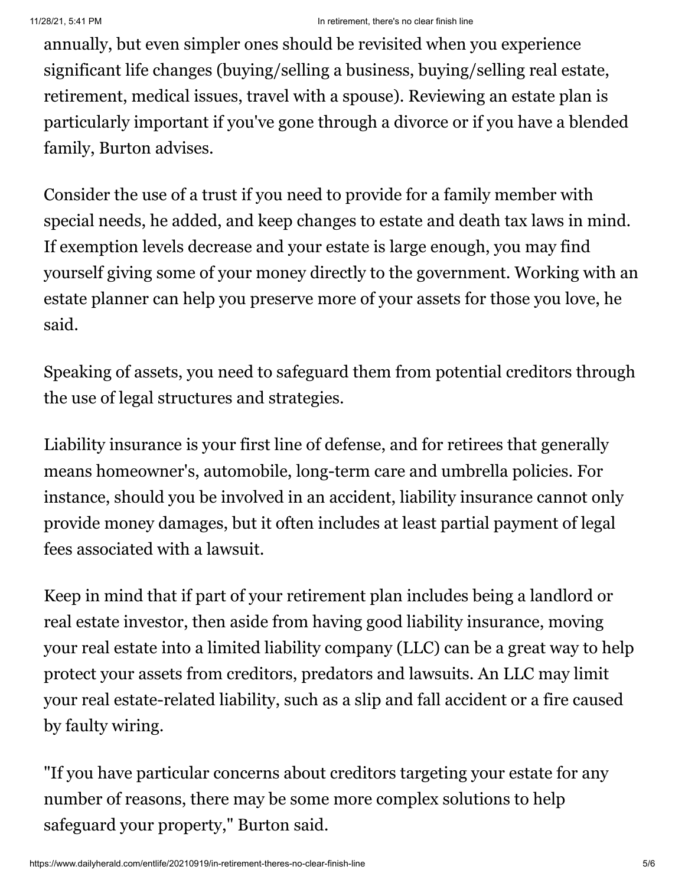annually, but even simpler ones should be revisited when you experience significant life changes (buying/selling a business, buying/selling real estate, retirement, medical issues, travel with a spouse). Reviewing an estate plan is particularly important if you've gone through a divorce or if you have a blended family, Burton advises.

Consider the use of a trust if you need to provide for a family member with special needs, he added, and keep changes to estate and death tax laws in mind. If exemption levels decrease and your estate is large enough, you may find yourself giving some of your money directly to the government. Working with an estate planner can help you preserve more of your assets for those you love, he said.

Speaking of assets, you need to safeguard them from potential creditors through the use of legal structures and strategies.

Liability insurance is your first line of defense, and for retirees that generally means homeowner's, automobile, long-term care and umbrella policies. For instance, should you be involved in an accident, liability insurance cannot only provide money damages, but it often includes at least partial payment of legal fees associated with a lawsuit.

Keep in mind that if part of your retirement plan includes being a landlord or real estate investor, then aside from having good liability insurance, moving your real estate into a limited liability company (LLC) can be a great way to help protect your assets from creditors, predators and lawsuits. An LLC may limit your real estate-related liability, such as a slip and fall accident or a fire caused by faulty wiring.

"If you have particular concerns about creditors targeting your estate for any number of reasons, there may be some more complex solutions to help safeguard your property," Burton said.